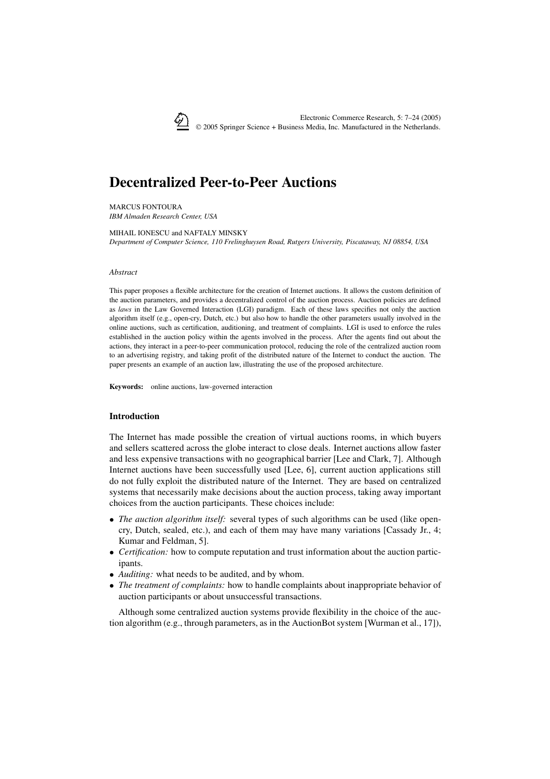# **Decentralized Peer-to-Peer Auctions**

MARCUS FONTOUR A *IBM Almaden Research Center, USA*

MIHAIL IONESCU and NAFTALY MINSKY *Department of Computer Science, 110 Frelinghuysen Road, Rutgers University, Piscataway, NJ 08854, USA*

#### *Abstract*

This paper proposes a flexible architecture for the creation of Internet auctions. It allows the custom definition of the auction parameters, and provides a decentralized control of the auction process. Auction policies are defined as *laws* in the Law Governed Interaction (LGI) paradigm. Each of these laws specifies not only the auction algorithm itself (e.g., open-cry, Dutch, etc.) but also how to handle the other parameters usually involved in the online auctions, such as certification, auditioning, and treatment of complaints. LGI is used to enforce the rules established in the auction policy within the agents involved in the process. After the agents find out about the actions, they interact in a peer-to-peer communication protocol, reducing the role of the centralized auction room to an advertising registry, and taking profit of the distributed nature of the Internet to conduct the auction. The paper presents an example of an auction law, illustrating the use of the proposed architecture.

**Keywords:** online auctions, law-governed interaction

#### **Introduction**

The Internet has made possible the creation of virtual auctions rooms, in which buyers and sellers scattered across the globe interact to close deals. Internet auctions allow faster and less expensive transactions with no geographical barrier [Lee and Clark, 7]. Although Internet auctions have been successfully used [Lee, 6], current auction applications still do not fully exploit the distributed nature of the Internet. They are based on centralized systems that necessarily make decisions about the auction process, taking away important choices from the auction participants. These choices include:

- *The auction algorithm itself:* several types of such algorithms can be used (like opencry, Dutch, sealed, etc.), and each of them may have many variations [Cassady Jr., 4; Kumar and Feldman, 5].
- *Certification:* how to compute reputation and trust information about the auction participants.
- *Auditing:* what needs to be audited, and by whom.
- *The treatment of complaints:* how to handle complaints about inappropriate behavior of auction participants or about unsuccessful transactions.

Although some centralized auction systems provide flexibility in the choice of the auction algorithm (e.g., through parameters, as in the AuctionBot system [Wurman et al., 17]),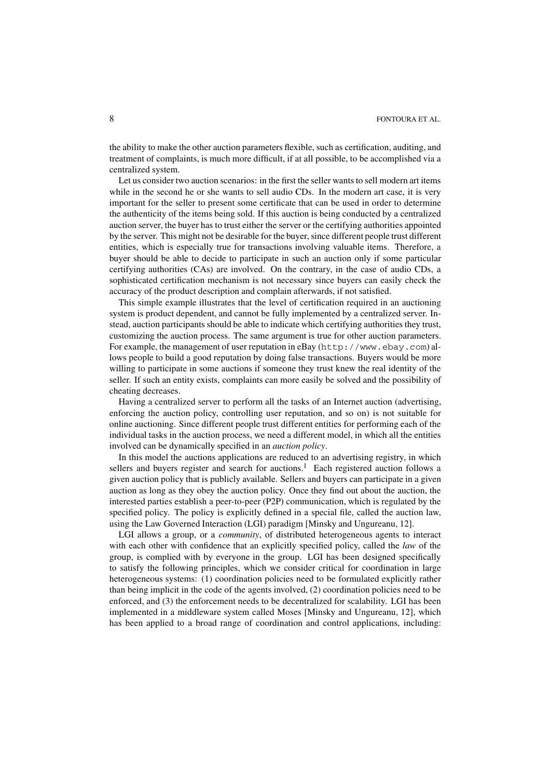the ability to make the other auction parameters flexible, such as certification, auditing, and treatment of complaints, is much more difficult, if at all possible, to be accomplished via a centralized system.

Let us consider two auction scenarios: in the first the seller wants to sell modern art items while in the second he or she wants to sell audio CDs. In the modern art case, it is very important for the seller to present some certificate that can be used in order to determine the authenticity of the items being sold. If this auction is being conducted by a centralized auction server, the buyer has to trust either the server or the certifying authorities appointed by the server. This might not be desirable for the buyer, since different people trust different entities, which is especially true for transactions involving valuable items. Therefore, a buyer should be able to decide to participate in such an auction only if some particular certifying authorities (CAs) are involved. On the contrary, in the case of audio CDs, a sophisticated certification mechanism is not necessary since buyers can easily check the accuracy of the product description and complain afterwards, if not satisfied.

This simple example illustrates that the level of certification required in an auctioning system is product dependent, and cannot be fully implemented by a centralized server. Instead, auction participants should be able to indicate which certifying authorities they trust, customizing the auction process. The same argument is true for other auction parameters. For example, the management of user reputation in eBay (http://www.ebay.com) allows people to build a good reputation by doing false transactions. Buyers would be more willing to participate in some auctions if someone they trust knew the real identity of the seller. If such an entity exists, complaints can more easily be solved and the possibility of cheating decreases.

Having a centralized server to perform all the tasks of an Internet auction (advertising, enforcing the auction policy, controlling user reputation, and so on) is not suitable for online auctioning. Since different people trust different entities for performing each of the individual tasks in the auction process, we need a different model, in which all the entities involved can be dynamically specified in an *auction policy*.

In this model the auctions applications are reduced to an advertising registry, in which sellers and buyers register and search for auctions.<sup>1</sup> Each registered auction follows a given auction policy that is publicly available. Sellers and buyers can participate in a given auction as long as they obey the auction policy. Once they find out about the auction, the interested parties establish a peer-to-peer (P2P) communication, which is regulated by the specified policy. The policy is explicitly defined in a special file, called the auction law, using the Law Governed Interaction (LGI) paradigm [Minsky and Ungureanu, 12].

LGI allows a group, or a *community*, of distributed heterogeneous agents to interact with each other with confidence that an explicitly specified policy, called the *law* of the group, is complied with by everyone in the group. LGI has been designed specifically to satisfy the following principles, which we consider critical for coordination in large heterogeneous systems: (1) coordination policies need to be formulated explicitly rather than being implicit in the code of the agents involved, (2) coordination policies need to be enforced, and (3) the enforcement needs to be decentralized for scalability. LGI has been implemented in a middleware system called Moses [Minsky and Ungureanu, 12], which has been applied to a broad range of coordination and control applications, including: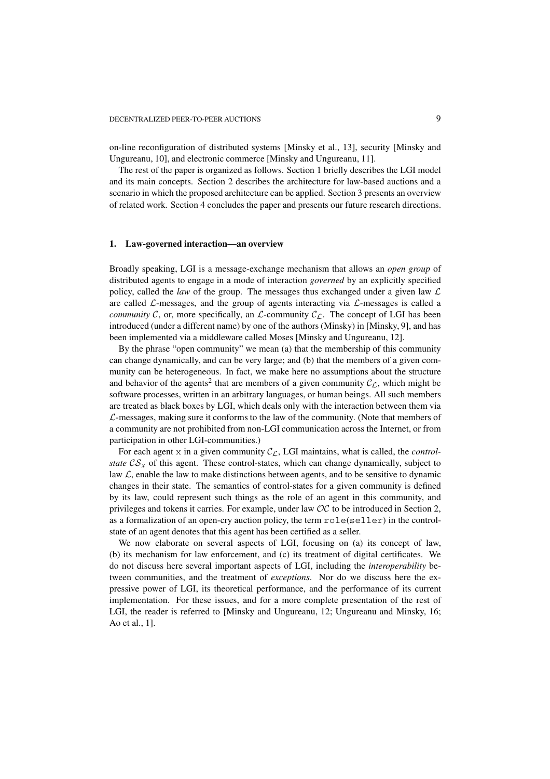on-line reconfiguration of distributed systems [Minsky et al., 13], security [Minsky and Ungureanu, 10], and electronic commerce [Minsky and Ungureanu, 11].

The rest of the paper is organized as follows. Section 1 briefly describes the LGI model and its main concepts. Section 2 describes the architecture for law-based auctions and a scenario in which the proposed architecture can be applied. Section 3 presents an overview of related work. Section 4 concludes the paper and presents our future research directions.

## **1. Law-governed interaction—an overview**

Broadly speaking, LGI is a message-exchange mechanism that allows an *open group* of distributed agents to engage in a mode of interaction *governed* by an explicitly specified policy, called the *law* of the group. The messages thus exchanged under a given law  $\mathcal{L}$ are called  $\mathcal{L}$ -messages, and the group of agents interacting via  $\mathcal{L}$ -messages is called a *community* C, or, more specifically, an L-community  $C_{\Gamma}$ . The concept of LGI has been introduced (under a different name) by one of the authors (Minsky) in [Minsky, 9], and has been implemented via a middleware called Moses [Minsky and Ungureanu, 12].

By the phrase "open community" we mean (a) that the membership of this community can change dynamically, and can be very large; and (b) that the members of a given community can be heterogeneous. In fact, we make here no assumptions about the structure and behavior of the agents<sup>2</sup> that are members of a given community  $\mathcal{C}_{\mathcal{L}}$ , which might be software processes, written in an arbitrary languages, or human beings. All such members are treated as black boxes by LGI, which deals only with the interaction between them via  $\mathcal{L}$ -messages, making sure it conforms to the law of the community. (Note that members of a community are not prohibited from non-LGI communication across the Internet, or from participation in other LGI-communities.)

For each agent x in a given community  $C_{\mathcal{L}}$ , LGI maintains, what is called, the *controlstate*  $CS_x$  of this agent. These control-states, which can change dynamically, subject to law  $\mathcal{L}$ , enable the law to make distinctions between agents, and to be sensitive to dynamic changes in their state. The semantics of control-states for a given community is defined by its law, could represent such things as the role of an agent in this community, and privileges and tokens it carries. For example, under law  $OC$  to be introduced in Section 2, as a formalization of an open-cry auction policy, the term role*(*seller*)* in the controlstate of an agent denotes that this agent has been certified as a seller.

We now elaborate on several aspects of LGI, focusing on (a) its concept of law, (b) its mechanism for law enforcement, and (c) its treatment of digital certificates. We do not discuss here several important aspects of LGI, including the *interoperability* between communities, and the treatment of *exceptions*. Nor do we discuss here the expressive power of LGI, its theoretical performance, and the performance of its current implementation. For these issues, and for a more complete presentation of the rest of LGI, the reader is referred to [Minsky and Ungureanu, 12; Ungureanu and Minsky, 16; Ao et al., 1].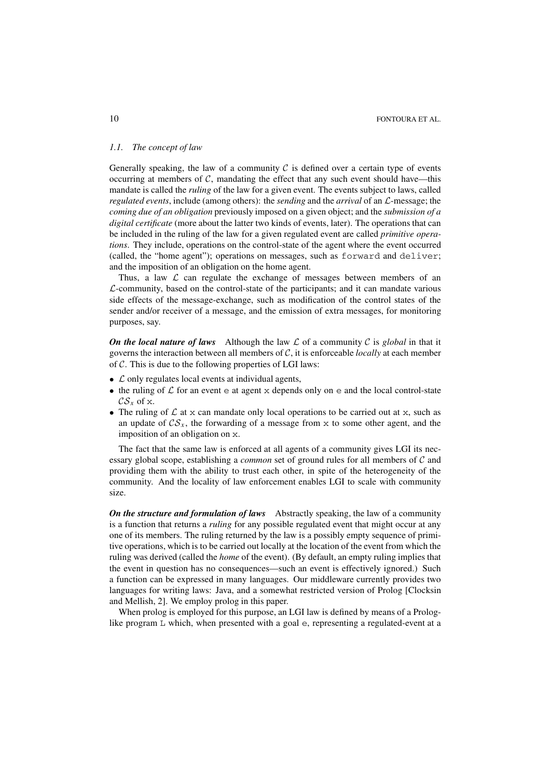## *1.1. The concept of law*

Generally speaking, the law of a community  $C$  is defined over a certain type of events occurring at members of  $C$ , mandating the effect that any such event should have—this mandate is called the *ruling* of the law for a given event. The events subject to laws, called *regulated events*, include (among others): the *sending* and the *arrival* of an L-message; the *coming due of an obligation* previously imposed on a given object; and the *submission of a digital certificate* (more about the latter two kinds of events, later). The operations that can be included in the ruling of the law for a given regulated event are called *primitive operations*. They include, operations on the control-state of the agent where the event occurred (called, the "home agent"); operations on messages, such as forward and deliver; and the imposition of an obligation on the home agent.

Thus, a law  $\mathcal L$  can regulate the exchange of messages between members of an  $\mathcal{L}$ -community, based on the control-state of the participants; and it can mandate various side effects of the message-exchange, such as modification of the control states of the sender and/or receiver of a message, and the emission of extra messages, for monitoring purposes, say.

*On the local nature of laws* Although the law  $\mathcal L$  of a community  $\mathcal C$  is *global* in that it governs the interaction between all members of C, it is enforceable *locally* at each member of  $\mathcal C$ . This is due to the following properties of LGI laws:

- $\bullet$   $\mathcal L$  only regulates local events at individual agents,
- the ruling of  $\mathcal L$  for an event  $\epsilon$  at agent x depends only on  $\epsilon$  and the local control-state  $\mathcal{CS}_x$  of x.
- The ruling of  $\mathcal L$  at x can mandate only local operations to be carried out at x, such as an update of  $\mathcal{CS}_r$ , the forwarding of a message from  $x$  to some other agent, and the imposition of an obligation on x.

The fact that the same law is enforced at all agents of a community gives LGI its necessary global scope, establishing a *common* set of ground rules for all members of C and providing them with the ability to trust each other, in spite of the heterogeneity of the community. And the locality of law enforcement enables LGI to scale with community size.

*On the structure and formulation of laws* Abstractly speaking, the law of a community is a function that returns a *ruling* for any possible regulated event that might occur at any one of its members. The ruling returned by the law is a possibly empty sequence of primitive operations, which is to be carried out locally at the location of the event from which the ruling was derived (called the *home* of the event). (By default, an empty ruling implies that the event in question has no consequences—such an event is effectively ignored.) Such a function can be expressed in many languages. Our middleware currently provides two languages for writing laws: Java, and a somewhat restricted version of Prolog [Clocksin and Mellish, 2]. We employ prolog in this paper.

When prolog is employed for this purpose, an LGI law is defined by means of a Prologlike program L which, when presented with a goal e, representing a regulated-event at a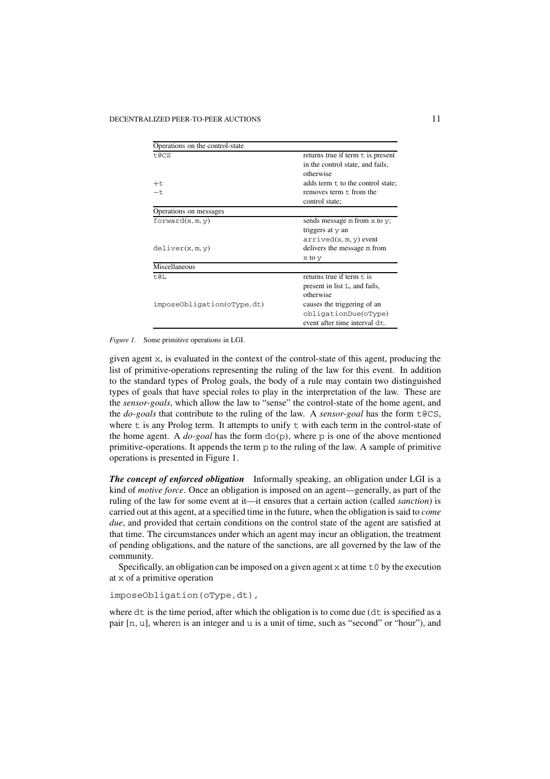| Operations on the control-state    |                                                                                                                                                                        |
|------------------------------------|------------------------------------------------------------------------------------------------------------------------------------------------------------------------|
| t@CS                               | returns true if term $\pm$ is present<br>in the control state, and fails,<br>otherwise                                                                                 |
| $+t$                               | adds term t to the control state;                                                                                                                                      |
| $-t$                               | removes term t. from the<br>control state;                                                                                                                             |
| Operations on messages             |                                                                                                                                                                        |
| forward(x, m, y)                   | sends message m from $x$ to $y$ ;<br>triggers at y an<br>$arrived(x, m, y)$ event                                                                                      |
| deliver(x, m, y)                   | delivers the message m from<br>x to y                                                                                                                                  |
| Miscellaneous                      |                                                                                                                                                                        |
| t.01<br>imposeObligation(oType,dt) | returns true if term $\pm$ is<br>present in list $L$ , and fails,<br>otherwise<br>causes the triggering of an<br>obligationDue(oType)<br>event after time interval dt. |

*Figure 1.* Some primitive operations in LGI.

given agent x, is evaluated in the context of the control-state of this agent, producing the list of primitive-operations representing the ruling of the law for this event. In addition to the standard types of Prolog goals, the body of a rule may contain two distinguished types of goals that have special roles to play in the interpretation of the law. These are the *sensor-goals*, which allow the law to "sense" the control-state of the home agent, and the *do-goals* that contribute to the ruling of the law. A *sensor-goal* has the form t@CS, where  $t$  is any Prolog term. It attempts to unify  $t$  with each term in the control-state of the home agent. A *do-goal* has the form  $d\rho(p)$ , where p is one of the above mentioned primitive-operations. It appends the term p to the ruling of the law. A sample of primitive operations is presented in Figure 1.

*The concept of enforced obligation* Informally speaking, an obligation under LGI is a kind of *motive force*. Once an obligation is imposed on an agent—generally, as part of the ruling of the law for some event at it—it ensures that a certain action (called *sanction*) is carried out at this agent, at a specified time in the future, when the obligation is said to *come due*, and provided that certain conditions on the control state of the agent are satisfied at that time. The circumstances under which an agent may incur an obligation, the treatment of pending obligations, and the nature of the sanctions, are all governed by the law of the community.

Specifically, an obligation can be imposed on a given agent  $x$  at time  $\pm 0$  by the execution at x of a primitive operation

imposeObligation(oType,dt),

where  $dt$  is the time period, after which the obligation is to come due ( $dt$  is specified as a pair [n*,* u], wheren is an integer and u is a unit of time, such as "second" or "hour"), and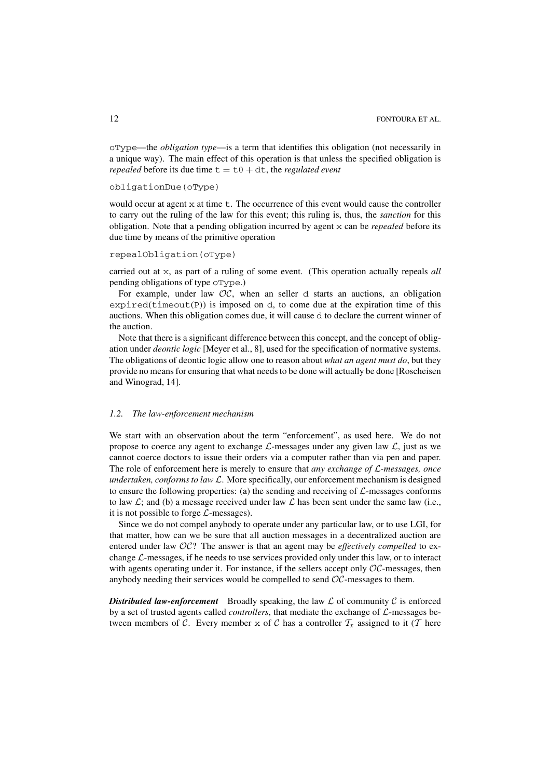oType—the *obligation type*—is a term that identifies this obligation (not necessarily in a unique way). The main effect of this operation is that unless the specified obligation is *repealed* before its due time  $t = t0 + dt$ , the *regulated event* 

## obligationDue(oType)

would occur at agent  $x$  at time  $t$ . The occurrence of this event would cause the controller to carry out the ruling of the law for this event; this ruling is, thus, the *sanction* for this obligation. Note that a pending obligation incurred by agent x can be *repealed* before its due time by means of the primitive operation

```
repealObligation(oType)
```
carried out at x, as part of a ruling of some event. (This operation actually repeals *all* pending obligations of type oType.)

For example, under law  $OC$ , when an seller d starts an auctions, an obligation  $\exp\left(t\right)$  is imposed on d, to come due at the expiration time of this auctions. When this obligation comes due, it will cause d to declare the current winner of the auction.

Note that there is a significant difference between this concept, and the concept of obligation under *deontic logic* [Meyer et al., 8], used for the specification of normative systems. The obligations of deontic logic allow one to reason about *what an agent must do*, but they provide no means for ensuring that what needs to be done will actually be done [Roscheisen and Winograd, 14].

## *1.2. The law-enforcement mechanism*

We start with an observation about the term "enforcement", as used here. We do not propose to coerce any agent to exchange  $\mathcal{L}$ -messages under any given law  $\mathcal{L}$ , just as we cannot coerce doctors to issue their orders via a computer rather than via pen and paper. The role of enforcement here is merely to ensure that *any exchange of* L*-messages, once undertaken, conforms to law* L. More specifically, our enforcement mechanism is designed to ensure the following properties: (a) the sending and receiving of  $\mathcal{L}$ -messages conforms to law  $\mathcal{L}$ ; and (b) a message received under law  $\mathcal{L}$  has been sent under the same law (i.e., it is not possible to forge  $\mathcal{L}$ -messages).

Since we do not compel anybody to operate under any particular law, or to use LGI, for that matter, how can we be sure that all auction messages in a decentralized auction are entered under law OC? The answer is that an agent may be *effectively compelled* to exchange  $\mathcal{L}$ -messages, if he needs to use services provided only under this law, or to interact with agents operating under it. For instance, if the sellers accept only  $OC$ -messages, then anybody needing their services would be compelled to send  $OC$ -messages to them.

*Distributed law-enforcement* Broadly speaking, the law  $\mathcal L$  of community  $\mathcal C$  is enforced by a set of trusted agents called *controllers*, that mediate the exchange of L-messages between members of C. Every member x of C has a controller  $T_x$  assigned to it (T here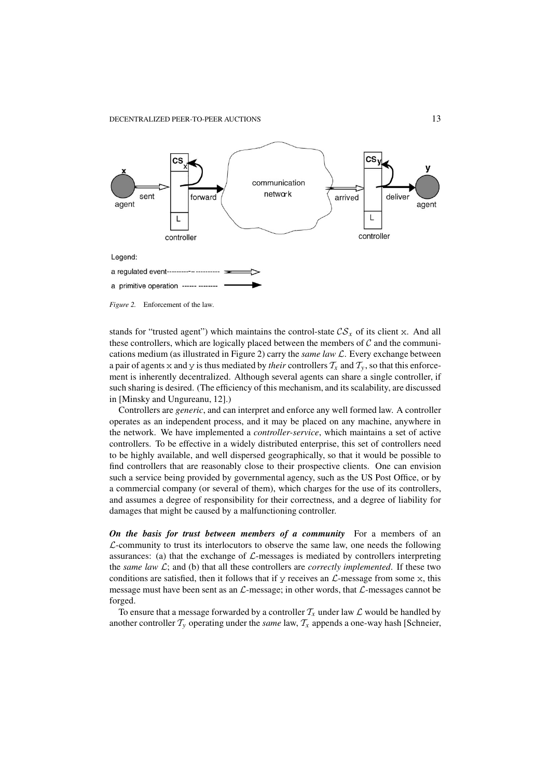



stands for "trusted agent") which maintains the control-state  $CS<sub>x</sub>$  of its client x. And all these controllers, which are logically placed between the members of  $\mathcal C$  and the communications medium (as illustrated in Figure 2) carry the *same law*  $\mathcal{L}$ . Every exchange between a pair of agents x and y is thus mediated by *their* controllers  $T_x$  and  $T_y$ , so that this enforcement is inherently decentralized. Although several agents can share a single controller, if such sharing is desired. (The efficiency of this mechanism, and its scalability, are discussed in [Minsky and Ungureanu, 12].)

Controllers are *generic*, and can interpret and enforce any well formed law. A controller operates as an independent process, and it may be placed on any machine, anywhere in the network. We have implemented a *controller-service*, which maintains a set of active controllers. To be effective in a widely distributed enterprise, this set of controllers need to be highly available, and well dispersed geographically, so that it would be possible to find controllers that are reasonably close to their prospective clients. One can envision such a service being provided by governmental agency, such as the US Post Office, or by a commercial company (or several of them), which charges for the use of its controllers, and assumes a degree of responsibility for their correctness, and a degree of liability for damages that might be caused by a malfunctioning controller.

*On the basis for trust between members of a community* For a members of an  $\mathcal{L}$ -community to trust its interlocutors to observe the same law, one needs the following assurances: (a) that the exchange of  $\mathcal{L}$ -messages is mediated by controllers interpreting the *same law* L; and (b) that all these controllers are *correctly implemented*. If these two conditions are satisfied, then it follows that if y receives an  $\mathcal{L}$ -message from some x, this message must have been sent as an  $\mathcal{L}$ -message; in other words, that  $\mathcal{L}$ -messages cannot be forged.

To ensure that a message forwarded by a controller  $T_x$  under law  $\mathcal L$  would be handled by another controller  $\mathcal{T}_v$  operating under the *same* law,  $\mathcal{T}_x$  appends a one-way hash [Schneier,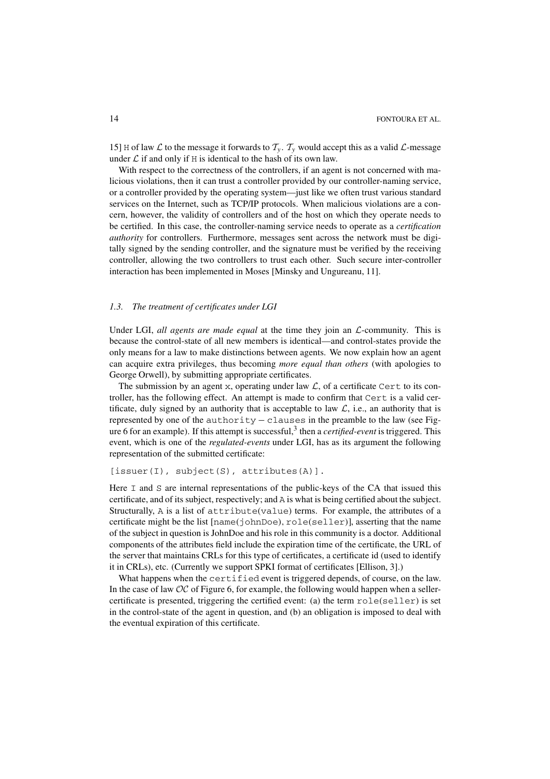15] H of law  $\mathcal L$  to the message it forwards to  $\mathcal T_v$ .  $\mathcal T_v$  would accept this as a valid  $\mathcal L$ -message under  $\mathcal L$  if and only if H is identical to the hash of its own law.

With respect to the correctness of the controllers, if an agent is not concerned with malicious violations, then it can trust a controller provided by our controller-naming service, or a controller provided by the operating system—just like we often trust various standard services on the Internet, such as TCP/IP protocols. When malicious violations are a concern, however, the validity of controllers and of the host on which they operate needs to be certified. In this case, the controller-naming service needs to operate as a *certification authority* for controllers. Furthermore, messages sent across the network must be digitally signed by the sending controller, and the signature must be verified by the receiving controller, allowing the two controllers to trust each other. Such secure inter-controller interaction has been implemented in Moses [Minsky and Ungureanu, 11].

## *1.3. The treatment of certificates under LGI*

Under LGI, *all agents are made equal* at the time they join an  $\mathcal{L}$ -community. This is because the control-state of all new members is identical—and control-states provide the only means for a law to make distinctions between agents. We now explain how an agent can acquire extra privileges, thus becoming *more equal than others* (with apologies to George Orwell), by submitting appropriate certificates.

The submission by an agent x, operating under law  $\mathcal{L}$ , of a certificate Cert to its controller, has the following effect. An attempt is made to confirm that Cert is a valid certificate, duly signed by an authority that is acceptable to law  $\mathcal{L}$ , i.e., an authority that is represented by one of the authority – clauses in the preamble to the law (see Figure 6 for an example). If this attempt is successful,<sup>3</sup> then a *certified-event* is triggered. This event, which is one of the *regulated-events* under LGI, has as its argument the following representation of the submitted certificate:

```
[issuer(I), subtect(S), attributes(A)].
```
Here  $I$  and  $S$  are internal representations of the public-keys of the CA that issued this certificate, and of its subject, respectively; and A is what is being certified about the subject. Structurally, A is a list of attribute*(*value*)* terms. For example, the attributes of a certificate might be the list [name*(*johnDoe*),* role*(*seller*)*], asserting that the name of the subject in question is JohnDoe and his role in this community is a doctor. Additional components of the attributes field include the expiration time of the certificate, the URL of the server that maintains CRLs for this type of certificates, a certificate id (used to identify it in CRLs), etc. (Currently we support SPKI format of certificates [Ellison, 3].)

What happens when the certified event is triggered depends, of course, on the law. In the case of law  $OC$  of Figure 6, for example, the following would happen when a sellercertificate is presented, triggering the certified event: (a) the term role*(*seller*)* is set in the control-state of the agent in question, and (b) an obligation is imposed to deal with the eventual expiration of this certificate.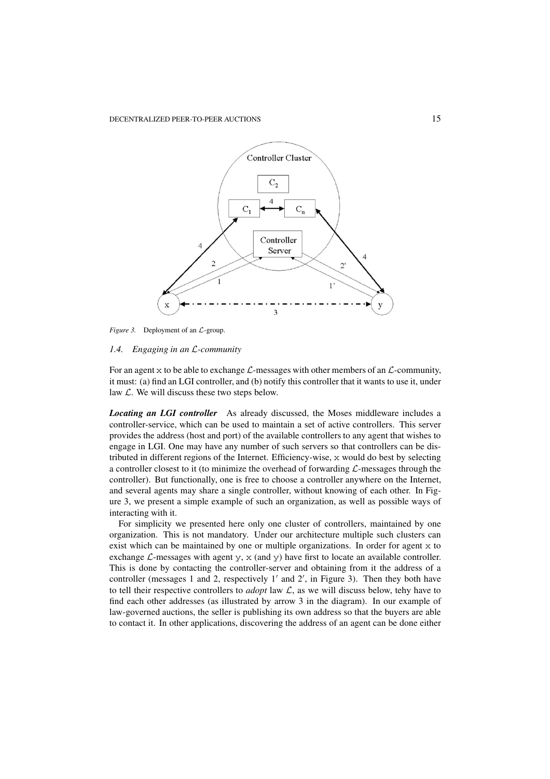

*Figure 3.* Deployment of an  $\mathcal{L}$ -group.

#### *1.4. Engaging in an* L*-community*

For an agent x to be able to exchange  $\mathcal{L}$ -messages with other members of an  $\mathcal{L}$ -community, it must: (a) find an LGI controller, and (b) notify this controller that it wants to use it, under law  $\mathcal{L}$ . We will discuss these two steps below.

*Locating an LGI controller* As already discussed, the Moses middleware includes a controller-service, which can be used to maintain a set of active controllers. This server provides the address (host and port) of the available controllers to any agent that wishes to engage in LGI. One may have any number of such servers so that controllers can be distributed in different regions of the Internet. Efficiency-wise,  $x$  would do best by selecting a controller closest to it (to minimize the overhead of forwarding L-messages through the controller). But functionally, one is free to choose a controller anywhere on the Internet, and several agents may share a single controller, without knowing of each other. In Figure 3, we present a simple example of such an organization, as well as possible ways of interacting with it.

For simplicity we presented here only one cluster of controllers, maintained by one organization. This is not mandatory. Under our architecture multiple such clusters can exist which can be maintained by one or multiple organizations. In order for agent x to exchange  $\mathcal{L}$ -messages with agent y, x (and y) have first to locate an available controller. This is done by contacting the controller-server and obtaining from it the address of a controller (messages 1 and 2, respectively  $1'$  and  $2'$ , in Figure 3). Then they both have to tell their respective controllers to  $adopt$  law  $\mathcal{L}$ , as we will discuss below, tehy have to find each other addresses (as illustrated by arrow 3 in the diagram). In our example of law-governed auctions, the seller is publishing its own address so that the buyers are able to contact it. In other applications, discovering the address of an agent can be done either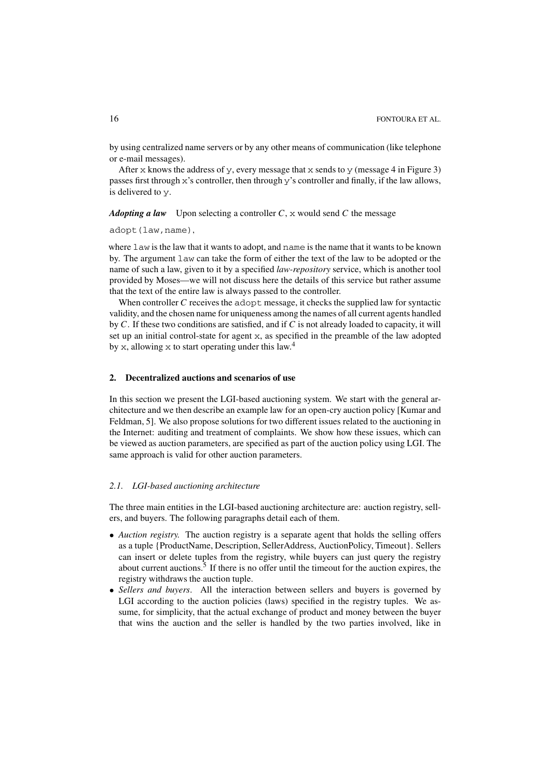by using centralized name servers or by any other means of communication (like telephone or e-mail messages).

After x knows the address of y, every message that x sends to y (message 4 in Figure 3) passes first through  $x$ 's controller, then through  $y$ 's controller and finally, if the law allows, is delivered to y.

*Adopting a law* Upon selecting a controller *C*, x would send *C* the message

adopt(law,name)*,*

where law is the law that it wants to adopt, and name is the name that it wants to be known by. The argument law can take the form of either the text of the law to be adopted or the name of such a law, given to it by a specified *law-repository* service, which is another tool provided by Moses—we will not discuss here the details of this service but rather assume that the text of the entire law is always passed to the controller.

When controller *C* receives the adopt message, it checks the supplied law for syntactic validity, and the chosen name for uniqueness among the names of all current agents handled by *C*. If these two conditions are satisfied, and if *C* is not already loaded to capacity, it will set up an initial control-state for agent x, as specified in the preamble of the law adopted by x, allowing x to start operating under this law.<sup>4</sup>

#### **2. Decentralized auctions and scenarios of use**

In this section we present the LGI-based auctioning system. We start with the general architecture and we then describe an example law for an open-cry auction policy [Kumar and Feldman, 5]. We also propose solutions for two different issues related to the auctioning in the Internet: auditing and treatment of complaints. We show how these issues, which can be viewed as auction parameters, are specified as part of the auction policy using LGI. The same approach is valid for other auction parameters.

#### *2.1. LGI-based auctioning architecture*

The three main entities in the LGI-based auctioning architecture are: auction registry, sellers, and buyers. The following paragraphs detail each of them.

- *Auction registry*. The auction registry is a separate agent that holds the selling offers as a tuple {ProductName, Description, SellerAddress, AuctionPolicy, Timeout}. Sellers can insert or delete tuples from the registry, while buyers can just query the registry about current auctions.<sup>5</sup> If there is no offer until the timeout for the auction expires, the registry withdraws the auction tuple.
- *Sellers and buyers*. All the interaction between sellers and buyers is governed by LGI according to the auction policies (laws) specified in the registry tuples. We assume, for simplicity, that the actual exchange of product and money between the buyer that wins the auction and the seller is handled by the two parties involved, like in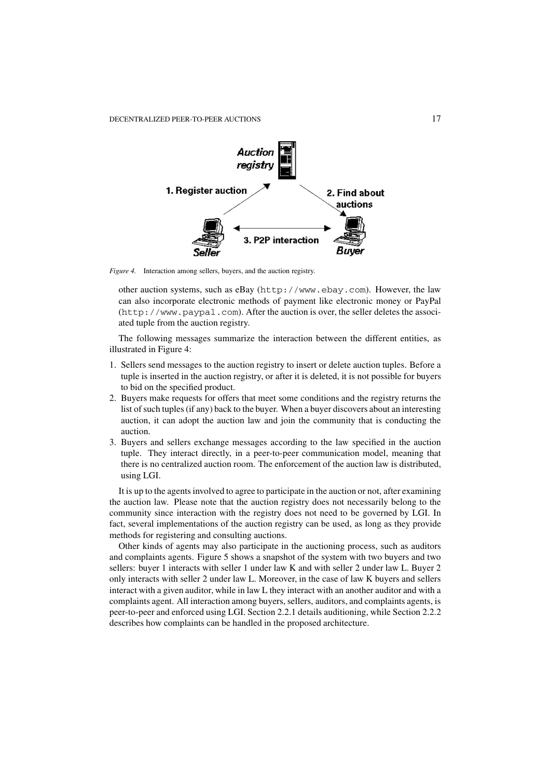

*Figure 4.* Interaction among sellers, buyers, and the auction registry.

other auction systems, such as eBay (http://www.ebay.com). However, the law can also incorporate electronic methods of payment like electronic money or PayPal (http://www.paypal.com). After the auction is over, the seller deletes the associated tuple from the auction registry.

The following messages summarize the interaction between the different entities, as illustrated in Figure 4:

- 1. Sellers send messages to the auction registry to insert or delete auction tuples. Before a tuple is inserted in the auction registry, or after it is deleted, it is not possible for buyers to bid on the specified product.
- 2. Buyers make requests for offers that meet some conditions and the registry returns the list of such tuples (if any) back to the buyer. When a buyer discovers about an interesting auction, it can adopt the auction law and join the community that is conducting the auction.
- 3. Buyers and sellers exchange messages according to the law specified in the auction tuple. They interact directly, in a peer-to-peer communication model, meaning that there is no centralized auction room. The enforcement of the auction law is distributed, using LGI.

It is up to the agents involved to agree to participate in the auction or not, after examining the auction law. Please note that the auction registry does not necessarily belong to the community since interaction with the registry does not need to be governed by LGI. In fact, several implementations of the auction registry can be used, as long as they provide methods for registering and consulting auctions.

Other kinds of agents may also participate in the auctioning process, such as auditors and complaints agents. Figure 5 shows a snapshot of the system with two buyers and two sellers: buyer 1 interacts with seller 1 under law K and with seller 2 under law L. Buyer 2 only interacts with seller 2 under law L. Moreover, in the case of law K buyers and sellers interact with a given auditor, while in law L they interact with an another auditor and with a complaints agent. All interaction among buyers, sellers, auditors, and complaints agents, is peer-to-peer and enforced using LGI. Section 2.2.1 details auditioning, while Section 2.2.2 describes how complaints can be handled in the proposed architecture.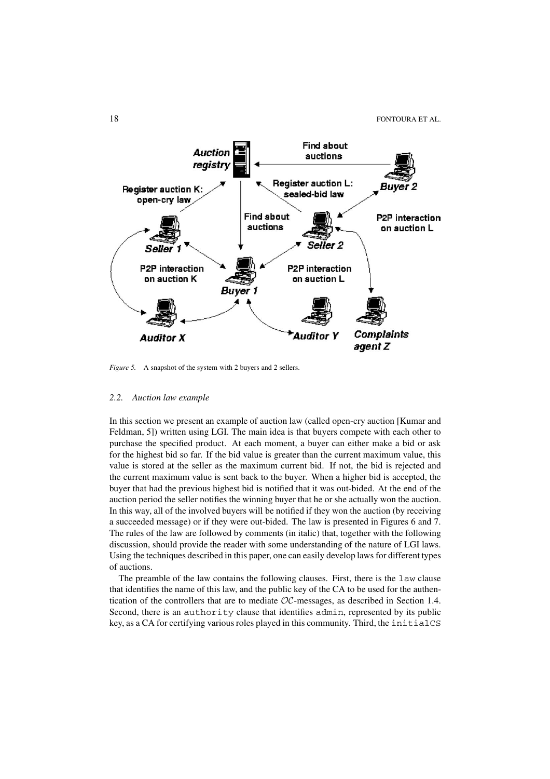

*Figure 5.* A snapshot of the system with 2 buyers and 2 sellers.

## *2.2. Auction law example*

In this section we present an example of auction law (called open-cry auction [Kumar and Feldman, 5]) written using LGI. The main idea is that buyers compete with each other to purchase the specified product. At each moment, a buyer can either make a bid or ask for the highest bid so far. If the bid value is greater than the current maximum value, this value is stored at the seller as the maximum current bid. If not, the bid is rejected and the current maximum value is sent back to the buyer. When a higher bid is accepted, the buyer that had the previous highest bid is notified that it was out-bided. At the end of the auction period the seller notifies the winning buyer that he or she actually won the auction. In this way, all of the involved buyers will be notified if they won the auction (by receiving a succeeded message) or if they were out-bided. The law is presented in Figures 6 and 7. The rules of the law are followed by comments (in italic) that, together with the following discussion, should provide the reader with some understanding of the nature of LGI laws. Using the techniques described in this paper, one can easily develop laws for different types of auctions.

The preamble of the law contains the following clauses. First, there is the law clause that identifies the name of this law, and the public key of the CA to be used for the authentication of the controllers that are to mediate  $OC$ -messages, as described in Section 1.4. Second, there is an authority clause that identifies admin, represented by its public key, as a CA for certifying various roles played in this community. Third, the initialCS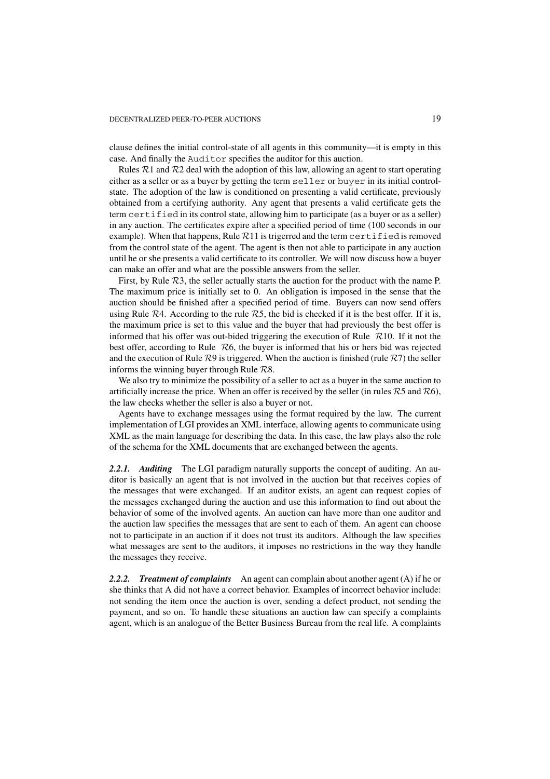clause defines the initial control-state of all agents in this community—it is empty in this case. And finally the Auditor specifies the auditor for this auction.

Rules  $R_1$  and  $R_2$  deal with the adoption of this law, allowing an agent to start operating either as a seller or as a buyer by getting the term seller or buyer in its initial controlstate. The adoption of the law is conditioned on presenting a valid certificate, previously obtained from a certifying authority. Any agent that presents a valid certificate gets the term certified in its control state, allowing him to participate (as a buyer or as a seller) in any auction. The certificates expire after a specified period of time (100 seconds in our example). When that happens, Rule  $R11$  is trigerred and the term certified is removed from the control state of the agent. The agent is then not able to participate in any auction until he or she presents a valid certificate to its controller. We will now discuss how a buyer can make an offer and what are the possible answers from the seller.

First, by Rule  $R_3$ , the seller actually starts the auction for the product with the name P. The maximum price is initially set to 0. An obligation is imposed in the sense that the auction should be finished after a specified period of time. Buyers can now send offers using Rule R4. According to the rule R5, the bid is checked if it is the best offer. If it is, the maximum price is set to this value and the buyer that had previously the best offer is informed that his offer was out-bided triggering the execution of Rule  $\mathcal{R}10$ . If it not the best offer, according to Rule R6, the buyer is informed that his or hers bid was rejected and the execution of Rule  $R9$  is triggered. When the auction is finished (rule  $R7$ ) the seller informs the winning buyer through Rule R8.

We also try to minimize the possibility of a seller to act as a buyer in the same auction to artificially increase the price. When an offer is received by the seller (in rules  $R5$  and  $R6$ ), the law checks whether the seller is also a buyer or not.

Agents have to exchange messages using the format required by the law. The current implementation of LGI provides an XML interface, allowing agents to communicate using XML as the main language for describing the data. In this case, the law plays also the role of the schema for the XML documents that are exchanged between the agents.

*2.2.1. Auditing* The LGI paradigm naturally supports the concept of auditing. An auditor is basically an agent that is not involved in the auction but that receives copies of the messages that were exchanged. If an auditor exists, an agent can request copies of the messages exchanged during the auction and use this information to find out about the behavior of some of the involved agents. An auction can have more than one auditor and the auction law specifies the messages that are sent to each of them. An agent can choose not to participate in an auction if it does not trust its auditors. Although the law specifies what messages are sent to the auditors, it imposes no restrictions in the way they handle the messages they receive.

*2.2.2. Treatment of complaints* An agent can complain about another agent (A) if he or she thinks that A did not have a correct behavior. Examples of incorrect behavior include: not sending the item once the auction is over, sending a defect product, not sending the payment, and so on. To handle these situations an auction law can specify a complaints agent, which is an analogue of the Better Business Bureau from the real life. A complaints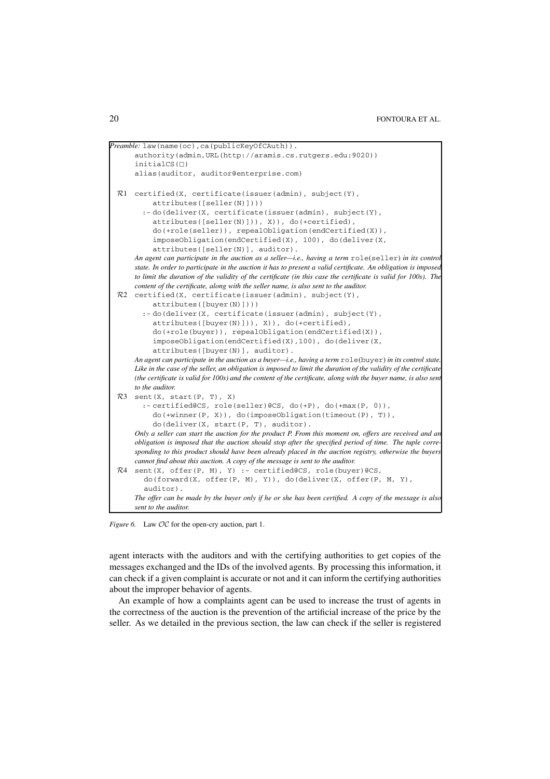```
Preamble: law(name(oc),ca(publicKeyOfCAuth)).
     authority(admin,URL(http://aramis.cs.rutgers.edu:9020))
     initialCS(\Box)alias(auditor, auditor@enterprise.com)
R1 certified(X, certificate(issuer(admin), subject(Y),
          attributes([seller(N)])))
       :- do(deliver(X, certificate(issuer(admin), subject(Y),
          attributes([seller(N)])), X)), do(+certified),
          do(+role(seller)), repealObligation(endCertified(X)),
          imposeObligation(endCertified(X), 100), do(deliver(X,
          attributes([seller(N)], auditor).
     An agent can participate in the auction as a seller—i.e., having a term role(seller) in its control
     state. In order to participate in the auction it has to present a valid certificate. An obligation is imposed
     to limit the duration of the validity of the certificate (in this case the certificate is valid for 100s). The
     content of the certificate, along with the seller name, is also sent to the auditor.
R2 certified(X, certificate(issuer(admin), subject(Y),
          attributes([buyer(N)])))
       :- do(deliver(X, certificate(issuer(admin), subject(Y),
          attributes([buyer(N)])), X)), do(+certified),
          do(+role(buyer)), repealObligation(endCertified(X)),
          imposeObligation(endCertified(X),100), do(deliver(X,
          attributes([buyer(N)], auditor).
     An agent can participate in the auction as a buyer—i.e., having a term role(buyer)in its control state.
     Like in the case of the seller, an obligation is imposed to limit the duration of the validity of the certificate
     (the certificate is valid for 100s) and the content of the certificate, along with the buyer name, is also sent
     to the auditor.
R3 sent(X, start(P, T), X)
       :- certified@CS, role(seller)@CS, do(+P), do(+max(P, 0)),
          do(+winner(P, X)), do(imposeObligation(timeout(P), T)),
          do(deliver(X, start(P, T), auditor).
     Only a seller can start the auction for the product P. From this moment on, offers are received and an
     obligation is imposed that the auction should stop after the specified period of time. The tuple corre-
     sponding to this product should have been already placed in the auction registry, otherwise the buyers
     cannot find about this auction. A copy of the message is sent to the auditor.
R4 sent(X, offer(P, M), Y) :- certified@CS, role(buyer)@CS,
       do(forward(X, offer(P, M), Y)), do(deliver(X, offer(P, M, Y),
       auditor).
     The offer can be made by the buyer only if he or she has been certified. A copy of the message is also
     sent to the auditor.
```
*Figure 6.* Law OC for the open-cry auction, part 1.

agent interacts with the auditors and with the certifying authorities to get copies of the messages exchanged and the IDs of the involved agents. By processing this information, it can check if a given complaint is accurate or not and it can inform the certifying authorities about the improper behavior of agents.

An example of how a complaints agent can be used to increase the trust of agents in the correctness of the auction is the prevention of the artificial increase of the price by the seller. As we detailed in the previous section, the law can check if the seller is registered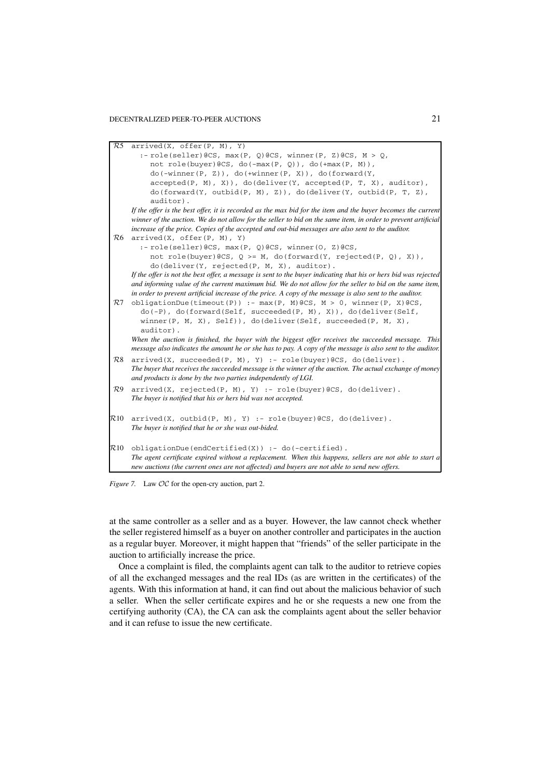

*Figure 7.* Law *OC* for the open-cry auction, part 2.

at the same controller as a seller and as a buyer. However, the law cannot check whether the seller registered himself as a buyer on another controller and participates in the auction as a regular buyer. Moreover, it might happen that "friends" of the seller participate in the auction to artificially increase the price.

Once a complaint is filed, the complaints agent can talk to the auditor to retrieve copies of all the exchanged messages and the real IDs (as are written in the certificates) of the agents. With this information at hand, it can find out about the malicious behavior of such a seller. When the seller certificate expires and he or she requests a new one from the certifying authority (CA), the CA can ask the complaints agent about the seller behavior and it can refuse to issue the new certificate.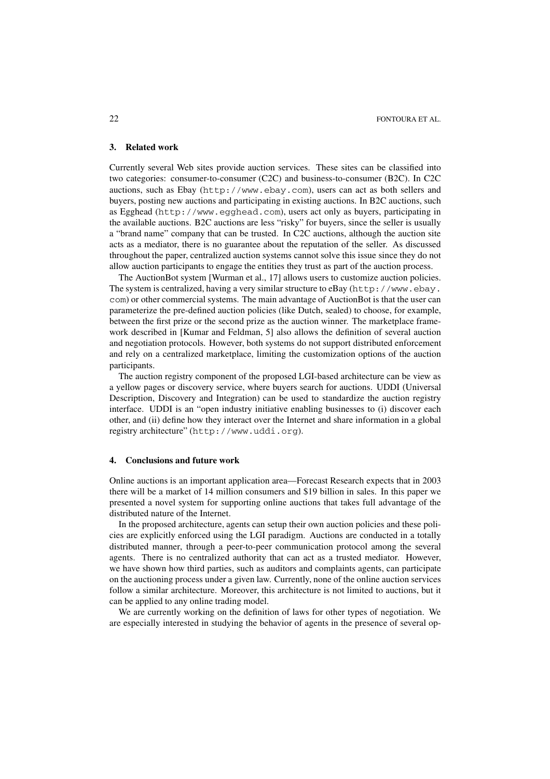## **3. Related work**

Currently several Web sites provide auction services. These sites can be classified into two categories: consumer-to-consumer (C2C) and business-to-consumer (B2C). In C2C auctions, such as Ebay (http://www.ebay.com), users can act as both sellers and buyers, posting new auctions and participating in existing auctions. In B2C auctions, such as Egghead (http://www.egghead.com), users act only as buyers, participating in the available auctions. B2C auctions are less "risky" for buyers, since the seller is usually a "brand name" company that can be trusted. In C2C auctions, although the auction site acts as a mediator, there is no guarantee about the reputation of the seller. As discussed throughout the paper, centralized auction systems cannot solve this issue since they do not allow auction participants to engage the entities they trust as part of the auction process.

The AuctionBot system [Wurman et al., 17] allows users to customize auction policies. The system is centralized, having a very similar structure to eBay (http://www.ebay. com) or other commercial systems. The main advantage of AuctionBot is that the user can parameterize the pre-defined auction policies (like Dutch, sealed) to choose, for example, between the first prize or the second prize as the auction winner. The marketplace framework described in [Kumar and Feldman, 5] also allows the definition of several auction and negotiation protocols. However, both systems do not support distributed enforcement and rely on a centralized marketplace, limiting the customization options of the auction participants.

The auction registry component of the proposed LGI-based architecture can be view as a yellow pages or discovery service, where buyers search for auctions. UDDI (Universal Description, Discovery and Integration) can be used to standardize the auction registry interface. UDDI is an "open industry initiative enabling businesses to (i) discover each other, and (ii) define how they interact over the Internet and share information in a global registry architecture" (http://www.uddi.org).

# **4. Conclusions and future work**

Online auctions is an important application area—Forecast Research expects that in 2003 there will be a market of 14 million consumers and \$19 billion in sales. In this paper we presented a novel system for supporting online auctions that takes full advantage of the distributed nature of the Internet.

In the proposed architecture, agents can setup their own auction policies and these policies are explicitly enforced using the LGI paradigm. Auctions are conducted in a totally distributed manner, through a peer-to-peer communication protocol among the several agents. There is no centralized authority that can act as a trusted mediator. However, we have shown how third parties, such as auditors and complaints agents, can participate on the auctioning process under a given law. Currently, none of the online auction services follow a similar architecture. Moreover, this architecture is not limited to auctions, but it can be applied to any online trading model.

We are currently working on the definition of laws for other types of negotiation. We are especially interested in studying the behavior of agents in the presence of several op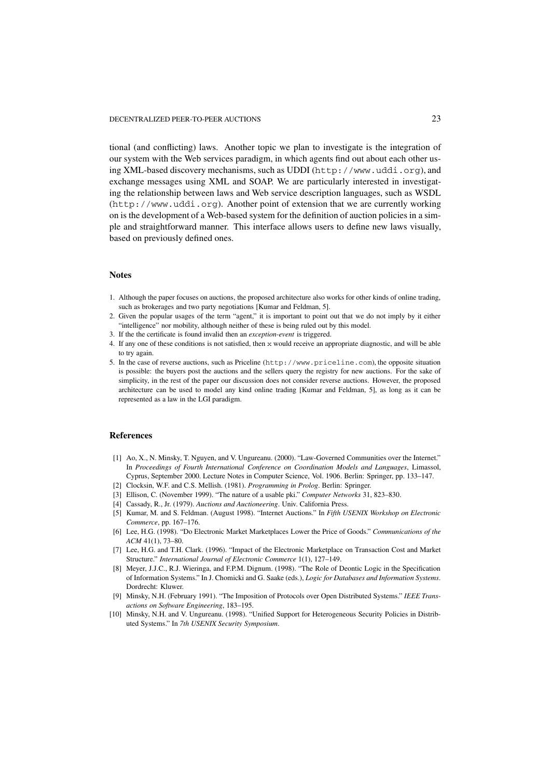tional (and conflicting) laws. Another topic we plan to investigate is the integration of our system with the Web services paradigm, in which agents find out about each other using XML-based discovery mechanisms, such as UDDI (http://www.uddi.org), and exchange messages using XML and SOAP. We are particularly interested in investigating the relationship between laws and Web service description languages, such as WSDL (http://www.uddi.org). Another point of extension that we are currently working on is the development of a Web-based system for the definition of auction policies in a simple and straightforward manner. This interface allows users to define new laws visually, based on previously defined ones.

#### **Notes**

- 1. Although the paper focuses on auctions, the proposed architecture also works for other kinds of online trading, such as brokerages and two party negotiations [Kumar and Feldman, 5].
- 2. Given the popular usages of the term "agent," it is important to point out that we do not imply by it either "intelligence" nor mobility, although neither of these is being ruled out by this model.
- 3. If the the certificate is found invalid then an *exception-event* is triggered.
- 4. If any one of these conditions is not satisfied, then x would receive an appropriate diagnostic, and will be able to try again.
- 5. In the case of reverse auctions, such as Priceline (http://www.priceline.com), the opposite situation is possible: the buyers post the auctions and the sellers query the registry for new auctions. For the sake of simplicity, in the rest of the paper our discussion does not consider reverse auctions. However, the proposed architecture can be used to model any kind online trading [Kumar and Feldman, 5], as long as it can be represented as a law in the LGI paradigm.

#### **References**

- [1] Ao, X., N. Minsky, T. Nguyen, and V. Ungureanu. (2000). "Law-Governed Communities over the Internet." In *Proceedings of Fourth International Conference on Coordination Models and Languages*, Limassol, Cyprus, September 2000. Lecture Notes in Computer Science, Vol. 1906. Berlin: Springer, pp. 133–147.
- [2] Clocksin, W.F. and C.S. Mellish. (1981). *Programming in Prolog*. Berlin: Springer.
- [3] Ellison, C. (November 1999). "The nature of a usable pki." *Computer Networks* 31, 823–830.
- [4] Cassady, R., Jr. (1979). *Auctions and Auctioneering*. Univ. California Press.
- [5] Kumar, M. and S. Feldman. (August 1998). "Internet Auctions." In *Fifth USENIX Workshop on Electronic Commerce*, pp. 167–176.
- [6] Lee, H.G. (1998). "Do Electronic Market Marketplaces Lower the Price of Goods." *Communications of the ACM* 41(1), 73–80.
- [7] Lee, H.G. and T.H. Clark. (1996). "Impact of the Electronic Marketplace on Transaction Cost and Market Structure." *International Journal of Electronic Commerce* 1(1), 127–149.
- [8] Meyer, J.J.C., R.J. Wieringa, and F.P.M. Dignum. (1998). "The Role of Deontic Logic in the Specification of Information Systems." In J. Chomicki and G. Saake (eds.), *Logic for Databases and Information Systems*. Dordrecht: Kluwer.
- [9] Minsky, N.H. (February 1991). "The Imposition of Protocols over Open Distributed Systems." *IEEE Transactions on Software Engineering*, 183–195.
- [10] Minsky, N.H. and V. Ungureanu. (1998). "Unified Support for Heterogeneous Security Policies in Distributed Systems." In *7th USENIX Security Symposium*.